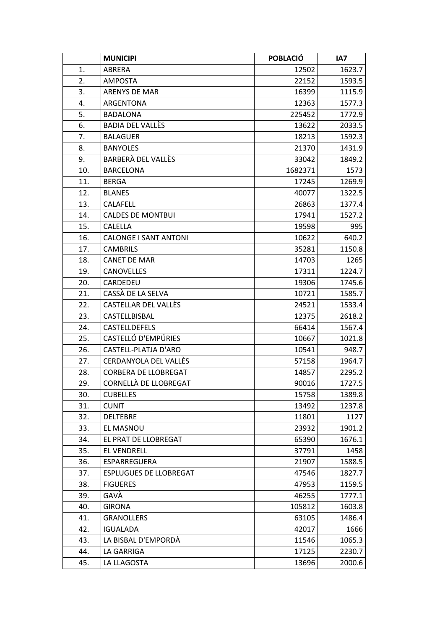|     | <b>MUNICIPI</b>               | <b>POBLACIÓ</b> | IA7    |
|-----|-------------------------------|-----------------|--------|
| 1.  | ABRERA                        | 12502           | 1623.7 |
| 2.  | <b>AMPOSTA</b>                | 22152           | 1593.5 |
| 3.  | <b>ARENYS DE MAR</b>          | 16399           | 1115.9 |
| 4.  | ARGENTONA                     | 12363           | 1577.3 |
| 5.  | <b>BADALONA</b>               | 225452          | 1772.9 |
| 6.  | BADIA DEL VALLÈS              | 13622           | 2033.5 |
| 7.  | <b>BALAGUER</b>               | 18213           | 1592.3 |
| 8.  | <b>BANYOLES</b>               | 21370           | 1431.9 |
| 9.  | BARBERÀ DEL VALLÈS            | 33042           | 1849.2 |
| 10. | <b>BARCELONA</b>              | 1682371         | 1573   |
| 11. | <b>BERGA</b>                  | 17245           | 1269.9 |
| 12. | <b>BLANES</b>                 | 40077           | 1322.5 |
| 13. | CALAFELL                      | 26863           | 1377.4 |
| 14. | <b>CALDES DE MONTBUI</b>      | 17941           | 1527.2 |
| 15. | <b>CALELLA</b>                | 19598           | 995    |
| 16. | <b>CALONGE I SANT ANTONI</b>  | 10622           | 640.2  |
| 17. | <b>CAMBRILS</b>               | 35281           | 1150.8 |
| 18. | <b>CANET DE MAR</b>           | 14703           | 1265   |
| 19. | <b>CANOVELLES</b>             | 17311           | 1224.7 |
| 20. | CARDEDEU                      | 19306           | 1745.6 |
| 21. | CASSÀ DE LA SELVA             | 10721           | 1585.7 |
| 22. | CASTELLAR DEL VALLÈS          | 24521           | 1533.4 |
| 23. | CASTELLBISBAL                 | 12375           | 2618.2 |
| 24. | <b>CASTELLDEFELS</b>          | 66414           | 1567.4 |
| 25. | CASTELLÓ D'EMPÚRIES           | 10667           | 1021.8 |
| 26. | CASTELL-PLATJA D'ARO          | 10541           | 948.7  |
| 27. | CERDANYOLA DEL VALLÈS         | 57158           | 1964.7 |
| 28. | <b>CORBERA DE LLOBREGAT</b>   | 14857           | 2295.2 |
| 29. | CORNELLÀ DE LLOBREGAT         | 90016           | 1727.5 |
| 30. | <b>CUBELLES</b>               | 15758           | 1389.8 |
| 31. | <b>CUNIT</b>                  | 13492           | 1237.8 |
| 32. | <b>DELTEBRE</b>               | 11801           | 1127   |
| 33. | EL MASNOU                     | 23932           | 1901.2 |
| 34. | EL PRAT DE LLOBREGAT          | 65390           | 1676.1 |
| 35. | <b>EL VENDRELL</b>            | 37791           | 1458   |
| 36. | ESPARREGUERA                  | 21907           | 1588.5 |
| 37. | <b>ESPLUGUES DE LLOBREGAT</b> | 47546           | 1827.7 |
| 38. | <b>FIGUERES</b>               | 47953           | 1159.5 |
| 39. | GAVÀ                          | 46255           | 1777.1 |
| 40. | <b>GIRONA</b>                 | 105812          | 1603.8 |
| 41. | <b>GRANOLLERS</b>             | 63105           | 1486.4 |
| 42. | <b>IGUALADA</b>               | 42017           | 1666   |
| 43. | LA BISBAL D'EMPORDÀ           | 11546           | 1065.3 |
| 44. | LA GARRIGA                    | 17125           | 2230.7 |
| 45. | LA LLAGOSTA                   | 13696           | 2000.6 |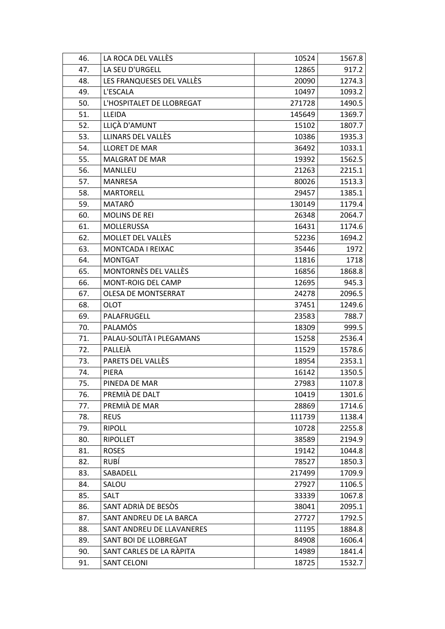| 46. | LA ROCA DEL VALLÈS          | 10524  | 1567.8 |
|-----|-----------------------------|--------|--------|
| 47. | LA SEU D'URGELL             | 12865  | 917.2  |
| 48. | LES FRANQUESES DEL VALLÈS   | 20090  | 1274.3 |
| 49. | L'ESCALA                    | 10497  | 1093.2 |
| 50. | L'HOSPITALET DE LLOBREGAT   | 271728 | 1490.5 |
| 51. | LLEIDA                      | 145649 | 1369.7 |
| 52. | LLIÇÀ D'AMUNT               | 15102  | 1807.7 |
| 53. | LLINARS DEL VALLÈS          | 10386  | 1935.3 |
| 54. | LLORET DE MAR               | 36492  | 1033.1 |
| 55. | MALGRAT DE MAR              | 19392  | 1562.5 |
| 56. | MANLLEU                     | 21263  | 2215.1 |
| 57. | <b>MANRESA</b>              | 80026  | 1513.3 |
| 58. | <b>MARTORELL</b>            | 29457  | 1385.1 |
| 59. | MATARÓ                      | 130149 | 1179.4 |
| 60. | <b>MOLINS DE REI</b>        | 26348  | 2064.7 |
| 61. | MOLLERUSSA                  | 16431  | 1174.6 |
| 62. | MOLLET DEL VALLÈS           | 52236  | 1694.2 |
| 63. | MONTCADA I REIXAC           | 35446  | 1972   |
| 64. | <b>MONTGAT</b>              | 11816  | 1718   |
| 65. | <b>MONTORNÈS DEL VALLÈS</b> | 16856  | 1868.8 |
| 66. | MONT-ROIG DEL CAMP          | 12695  | 945.3  |
| 67. | OLESA DE MONTSERRAT         | 24278  | 2096.5 |
| 68. | OLOT                        | 37451  | 1249.6 |
| 69. | PALAFRUGELL                 | 23583  | 788.7  |
| 70. | <b>PALAMÓS</b>              | 18309  | 999.5  |
| 71. | PALAU-SOLITÀ I PLEGAMANS    | 15258  | 2536.4 |
| 72. | PALLEJÀ                     | 11529  | 1578.6 |
| 73. | PARETS DEL VALLÈS           | 18954  | 2353.1 |
| 74. | <b>PIERA</b>                | 16142  | 1350.5 |
| 75. | PINEDA DE MAR               | 27983  | 1107.8 |
| 76. | PREMIÀ DE DALT              | 10419  | 1301.6 |
| 77. | PREMIÀ DE MAR               | 28869  | 1714.6 |
| 78. | <b>REUS</b>                 | 111739 | 1138.4 |
| 79. | <b>RIPOLL</b>               | 10728  | 2255.8 |
| 80. | <b>RIPOLLET</b>             | 38589  | 2194.9 |
| 81. | <b>ROSES</b>                | 19142  | 1044.8 |
| 82. | RUBÍ                        | 78527  | 1850.3 |
| 83. | SABADELL                    | 217499 | 1709.9 |
| 84. | SALOU                       | 27927  | 1106.5 |
| 85. | SALT                        | 33339  | 1067.8 |
| 86. | SANT ADRIÀ DE BESÒS         | 38041  | 2095.1 |
| 87. | SANT ANDREU DE LA BARCA     | 27727  | 1792.5 |
| 88. | SANT ANDREU DE LLAVANERES   | 11195  | 1884.8 |
| 89. | SANT BOI DE LLOBREGAT       | 84908  | 1606.4 |
| 90. | SANT CARLES DE LA RÀPITA    | 14989  | 1841.4 |
| 91. | <b>SANT CELONI</b>          | 18725  | 1532.7 |